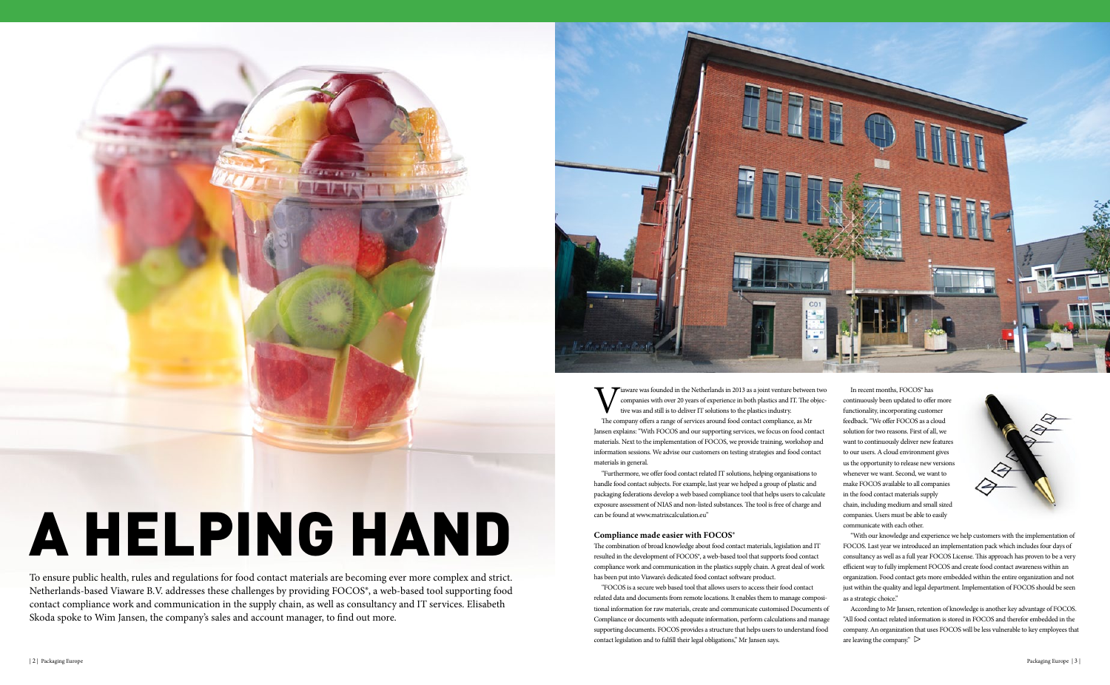Viaware was founded in the Netherlands in 2013 as a joint venture between two<br>companies with over 20 years of experience in both plastics and IT. The objec-<br>tive was and still is to deliver IT solutions to the plastics ind companies with over 20 years of experience in both plastics and IT. The objective was and still is to deliver IT solutions to the plastics industry. The company offers a range of services around food contact compliance, as Mr Jansen explains: "With FOCOS and our supporting services, we focus on food contact materials. Next to the implementation of FOCOS, we provide training, workshop and information sessions. We advise our customers on testing strategies and food contact materials in general.

"Furthermore, we offer food contact related IT solutions, helping organisations to handle food contact subjects. For example, last year we helped a group of plastic and packaging federations develop a web based compliance tool that helps users to calculate exposure assessment of NIAS and non-listed substances. The tool is free of charge and can be found at www.matrixcalculation.eu"

# **Compliance made easier with FOCOS®**

The combination of broad knowledge about food contact materials, legislation and IT resulted in the development of FOCOS®, a web-based tool that supports food contact compliance work and communication in the plastics supply chain. A great deal of work has been put into Viaware's dedicated food contact software product.

> According to Mr Jansen, retention of knowledge is another key advantage of FOCOS. "All food contact related information is stored in FOCOS and therefor embedded in the company. An organization that uses FOCOS will be less vulnerable to key employees that are leaving the company."  $\triangleright$

"FOCOS is a secure web based tool that allows users to access their food contact related data and documents from remote locations. It enables them to manage compositional information for raw materials, create and communicate customised Documents of Compliance or documents with adequate information, perform calculations and manage supporting documents. FOCOS provides a structure that helps users to understand food contact legislation and to fulfill their legal obligations," Mr Jansen says.

In recent months, FOCOS® has continuously been updated to offer more functionality, incorporating customer feedback. "We offer FOCOS as a cloud solution for two reasons. First of all, we want to continuously deliver new features to our users. A cloud environment gives us the opportunity to release new versions whenever we want. Second, we want to make FOCOS available to all companies in the food contact materials supply chain, including medium and small sized companies. Users must be able to easily communicate with each other.



"With our knowledge and experience we help customers with the implementation of FOCOS. Last year we introduced an implementation pack which includes four days of consultancy as well as a full year FOCOS License. This approach has proven to be a very efficient way to fully implement FOCOS and create food contact awareness within an organization. Food contact gets more embedded within the entire organization and not just within the quality and legal department. Implementation of FOCOS should be seen as a strategic choice."

To ensure public health, rules and regulations for food contact materials are becoming ever more complex and strict. Netherlands-based Viaware B.V. addresses these challenges by providing FOCOS®, a web-based tool supporting food contact compliance work and communication in the supply chain, as well as consultancy and IT services. Elisabeth Skoda spoke to Wim Jansen, the company's sales and account manager, to find out more.



# A helping hand